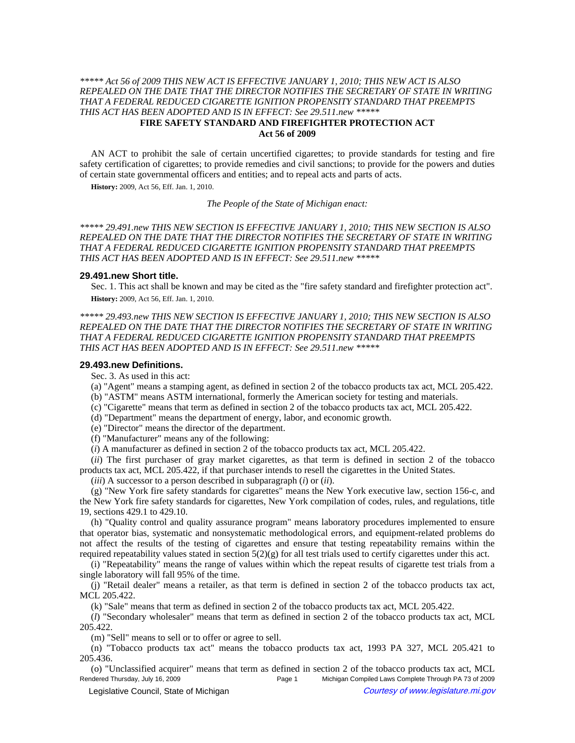## *\*\*\*\*\* Act 56 of 2009 THIS NEW ACT IS EFFECTIVE JANUARY 1, 2010; THIS NEW ACT IS ALSO REPEALED ON THE DATE THAT THE DIRECTOR NOTIFIES THE SECRETARY OF STATE IN WRITING THAT A FEDERAL REDUCED CIGARETTE IGNITION PROPENSITY STANDARD THAT PREEMPTS THIS ACT HAS BEEN ADOPTED AND IS IN EFFECT: See 29.511.new \*\*\*\*\**  **FIRE SAFETY STANDARD AND FIREFIGHTER PROTECTION ACT Act 56 of 2009**

AN ACT to prohibit the sale of certain uncertified cigarettes; to provide standards for testing and fire safety certification of cigarettes; to provide remedies and civil sanctions; to provide for the powers and duties of certain state governmental officers and entities; and to repeal acts and parts of acts.

**History:** 2009, Act 56, Eff. Jan. 1, 2010.

*The People of the State of Michigan enact:*

*\*\*\*\*\* 29.491.new THIS NEW SECTION IS EFFECTIVE JANUARY 1, 2010; THIS NEW SECTION IS ALSO REPEALED ON THE DATE THAT THE DIRECTOR NOTIFIES THE SECRETARY OF STATE IN WRITING THAT A FEDERAL REDUCED CIGARETTE IGNITION PROPENSITY STANDARD THAT PREEMPTS THIS ACT HAS BEEN ADOPTED AND IS IN EFFECT: See 29.511.new \*\*\*\*\** 

#### **29.491.new Short title.**

Sec. 1. This act shall be known and may be cited as the "fire safety standard and firefighter protection act". **History:** 2009, Act 56, Eff. Jan. 1, 2010.

*\*\*\*\*\* 29.493.new THIS NEW SECTION IS EFFECTIVE JANUARY 1, 2010; THIS NEW SECTION IS ALSO REPEALED ON THE DATE THAT THE DIRECTOR NOTIFIES THE SECRETARY OF STATE IN WRITING THAT A FEDERAL REDUCED CIGARETTE IGNITION PROPENSITY STANDARD THAT PREEMPTS THIS ACT HAS BEEN ADOPTED AND IS IN EFFECT: See 29.511.new \*\*\*\*\** 

## **29.493.new Definitions.**

Sec. 3. As used in this act:

(a) "Agent" means a stamping agent, as defined in section 2 of the tobacco products tax act, MCL 205.422.

- (b) "ASTM" means ASTM international, formerly the American society for testing and materials.
- (c) "Cigarette" means that term as defined in section 2 of the tobacco products tax act, MCL 205.422.
- (d) "Department" means the department of energy, labor, and economic growth.
- (e) "Director" means the director of the department.

(f) "Manufacturer" means any of the following:

(*i*) A manufacturer as defined in section 2 of the tobacco products tax act, MCL 205.422.

(*ii*) The first purchaser of gray market cigarettes, as that term is defined in section 2 of the tobacco products tax act, MCL 205.422, if that purchaser intends to resell the cigarettes in the United States.

(*iii*) A successor to a person described in subparagraph (*i*) or (*ii*).

(g) "New York fire safety standards for cigarettes" means the New York executive law, section 156-c, and the New York fire safety standards for cigarettes, New York compilation of codes, rules, and regulations, title 19, sections 429.1 to 429.10.

(h) "Quality control and quality assurance program" means laboratory procedures implemented to ensure that operator bias, systematic and nonsystematic methodological errors, and equipment-related problems do not affect the results of the testing of cigarettes and ensure that testing repeatability remains within the required repeatability values stated in section  $5(2)(g)$  for all test trials used to certify cigarettes under this act.

(i) "Repeatability" means the range of values within which the repeat results of cigarette test trials from a single laboratory will fall 95% of the time.

(j) "Retail dealer" means a retailer, as that term is defined in section 2 of the tobacco products tax act, MCL 205.422.

(k) "Sale" means that term as defined in section 2 of the tobacco products tax act, MCL 205.422.

(*l*) "Secondary wholesaler" means that term as defined in section 2 of the tobacco products tax act, MCL 205.422.

(m) "Sell" means to sell or to offer or agree to sell.

(n) "Tobacco products tax act" means the tobacco products tax act, 1993 PA 327, MCL 205.421 to 205.436.

(o) "Unclassified acquirer" means that term as defined in section 2 of the tobacco products tax act, MCL Rendered Thursday, July 16, 2009 **Page 1** Page 1 Michigan Compiled Laws Complete Through PA 73 of 2009 © Legislative Council, State of Michigan Council Courtesy of www.legislature.mi.gov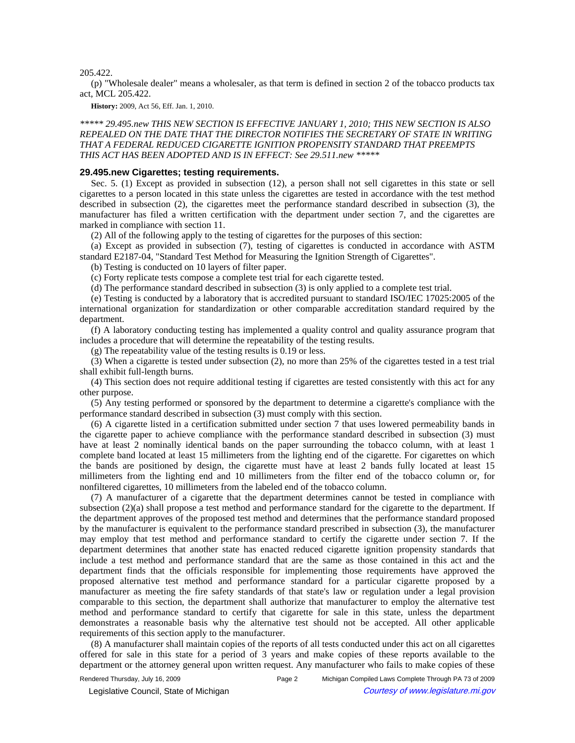205.422.

(p) "Wholesale dealer" means a wholesaler, as that term is defined in section 2 of the tobacco products tax act, MCL 205.422.

**History:** 2009, Act 56, Eff. Jan. 1, 2010.

*\*\*\*\*\* 29.495.new THIS NEW SECTION IS EFFECTIVE JANUARY 1, 2010; THIS NEW SECTION IS ALSO REPEALED ON THE DATE THAT THE DIRECTOR NOTIFIES THE SECRETARY OF STATE IN WRITING THAT A FEDERAL REDUCED CIGARETTE IGNITION PROPENSITY STANDARD THAT PREEMPTS THIS ACT HAS BEEN ADOPTED AND IS IN EFFECT: See 29.511.new \*\*\*\*\** 

### **29.495.new Cigarettes; testing requirements.**

Sec. 5. (1) Except as provided in subsection (12), a person shall not sell cigarettes in this state or sell cigarettes to a person located in this state unless the cigarettes are tested in accordance with the test method described in subsection (2), the cigarettes meet the performance standard described in subsection (3), the manufacturer has filed a written certification with the department under section 7, and the cigarettes are marked in compliance with section 11.

(2) All of the following apply to the testing of cigarettes for the purposes of this section:

(a) Except as provided in subsection (7), testing of cigarettes is conducted in accordance with ASTM standard E2187-04, "Standard Test Method for Measuring the Ignition Strength of Cigarettes".

(b) Testing is conducted on 10 layers of filter paper.

(c) Forty replicate tests compose a complete test trial for each cigarette tested.

(d) The performance standard described in subsection (3) is only applied to a complete test trial.

(e) Testing is conducted by a laboratory that is accredited pursuant to standard ISO/IEC 17025:2005 of the international organization for standardization or other comparable accreditation standard required by the department.

(f) A laboratory conducting testing has implemented a quality control and quality assurance program that includes a procedure that will determine the repeatability of the testing results.

(g) The repeatability value of the testing results is 0.19 or less.

(3) When a cigarette is tested under subsection (2), no more than 25% of the cigarettes tested in a test trial shall exhibit full-length burns.

(4) This section does not require additional testing if cigarettes are tested consistently with this act for any other purpose.

(5) Any testing performed or sponsored by the department to determine a cigarette's compliance with the performance standard described in subsection (3) must comply with this section.

(6) A cigarette listed in a certification submitted under section 7 that uses lowered permeability bands in the cigarette paper to achieve compliance with the performance standard described in subsection (3) must have at least 2 nominally identical bands on the paper surrounding the tobacco column, with at least 1 complete band located at least 15 millimeters from the lighting end of the cigarette. For cigarettes on which the bands are positioned by design, the cigarette must have at least 2 bands fully located at least 15 millimeters from the lighting end and 10 millimeters from the filter end of the tobacco column or, for nonfiltered cigarettes, 10 millimeters from the labeled end of the tobacco column.

(7) A manufacturer of a cigarette that the department determines cannot be tested in compliance with subsection (2)(a) shall propose a test method and performance standard for the cigarette to the department. If the department approves of the proposed test method and determines that the performance standard proposed by the manufacturer is equivalent to the performance standard prescribed in subsection (3), the manufacturer may employ that test method and performance standard to certify the cigarette under section 7. If the department determines that another state has enacted reduced cigarette ignition propensity standards that include a test method and performance standard that are the same as those contained in this act and the department finds that the officials responsible for implementing those requirements have approved the proposed alternative test method and performance standard for a particular cigarette proposed by a manufacturer as meeting the fire safety standards of that state's law or regulation under a legal provision comparable to this section, the department shall authorize that manufacturer to employ the alternative test method and performance standard to certify that cigarette for sale in this state, unless the department demonstrates a reasonable basis why the alternative test should not be accepted. All other applicable requirements of this section apply to the manufacturer.

(8) A manufacturer shall maintain copies of the reports of all tests conducted under this act on all cigarettes offered for sale in this state for a period of 3 years and make copies of these reports available to the department or the attorney general upon written request. Any manufacturer who fails to make copies of these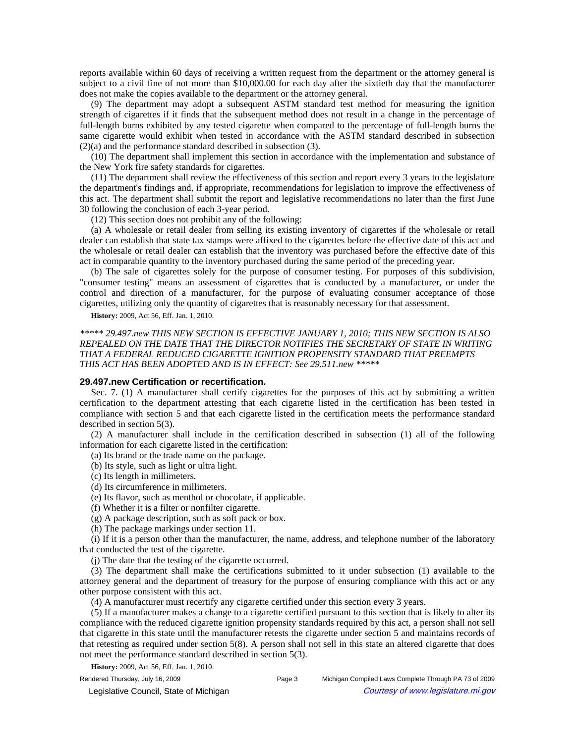reports available within 60 days of receiving a written request from the department or the attorney general is subject to a civil fine of not more than \$10,000.00 for each day after the sixtieth day that the manufacturer does not make the copies available to the department or the attorney general.

(9) The department may adopt a subsequent ASTM standard test method for measuring the ignition strength of cigarettes if it finds that the subsequent method does not result in a change in the percentage of full-length burns exhibited by any tested cigarette when compared to the percentage of full-length burns the same cigarette would exhibit when tested in accordance with the ASTM standard described in subsection (2)(a) and the performance standard described in subsection (3).

(10) The department shall implement this section in accordance with the implementation and substance of the New York fire safety standards for cigarettes.

(11) The department shall review the effectiveness of this section and report every 3 years to the legislature the department's findings and, if appropriate, recommendations for legislation to improve the effectiveness of this act. The department shall submit the report and legislative recommendations no later than the first June 30 following the conclusion of each 3-year period.

(12) This section does not prohibit any of the following:

(a) A wholesale or retail dealer from selling its existing inventory of cigarettes if the wholesale or retail dealer can establish that state tax stamps were affixed to the cigarettes before the effective date of this act and the wholesale or retail dealer can establish that the inventory was purchased before the effective date of this act in comparable quantity to the inventory purchased during the same period of the preceding year.

(b) The sale of cigarettes solely for the purpose of consumer testing. For purposes of this subdivision, "consumer testing" means an assessment of cigarettes that is conducted by a manufacturer, or under the control and direction of a manufacturer, for the purpose of evaluating consumer acceptance of those cigarettes, utilizing only the quantity of cigarettes that is reasonably necessary for that assessment.

**History:** 2009, Act 56, Eff. Jan. 1, 2010.

*\*\*\*\*\* 29.497.new THIS NEW SECTION IS EFFECTIVE JANUARY 1, 2010; THIS NEW SECTION IS ALSO REPEALED ON THE DATE THAT THE DIRECTOR NOTIFIES THE SECRETARY OF STATE IN WRITING THAT A FEDERAL REDUCED CIGARETTE IGNITION PROPENSITY STANDARD THAT PREEMPTS THIS ACT HAS BEEN ADOPTED AND IS IN EFFECT: See 29.511.new \*\*\*\*\** 

# **29.497.new Certification or recertification.**

Sec. 7. (1) A manufacturer shall certify cigarettes for the purposes of this act by submitting a written certification to the department attesting that each cigarette listed in the certification has been tested in compliance with section 5 and that each cigarette listed in the certification meets the performance standard described in section 5(3).

(2) A manufacturer shall include in the certification described in subsection (1) all of the following information for each cigarette listed in the certification:

(a) Its brand or the trade name on the package.

(b) Its style, such as light or ultra light.

(c) Its length in millimeters.

- (d) Its circumference in millimeters.
- (e) Its flavor, such as menthol or chocolate, if applicable.
- (f) Whether it is a filter or nonfilter cigarette.

(g) A package description, such as soft pack or box.

(h) The package markings under section 11.

(i) If it is a person other than the manufacturer, the name, address, and telephone number of the laboratory that conducted the test of the cigarette.

(j) The date that the testing of the cigarette occurred.

(3) The department shall make the certifications submitted to it under subsection (1) available to the attorney general and the department of treasury for the purpose of ensuring compliance with this act or any other purpose consistent with this act.

(4) A manufacturer must recertify any cigarette certified under this section every 3 years.

(5) If a manufacturer makes a change to a cigarette certified pursuant to this section that is likely to alter its compliance with the reduced cigarette ignition propensity standards required by this act, a person shall not sell that cigarette in this state until the manufacturer retests the cigarette under section 5 and maintains records of that retesting as required under section 5(8). A person shall not sell in this state an altered cigarette that does not meet the performance standard described in section 5(3).

**History:** 2009, Act 56, Eff. Jan. 1, 2010.

Rendered Thursday, July 16, 2009 **Page 3** Michigan Compiled Laws Complete Through PA 73 of 2009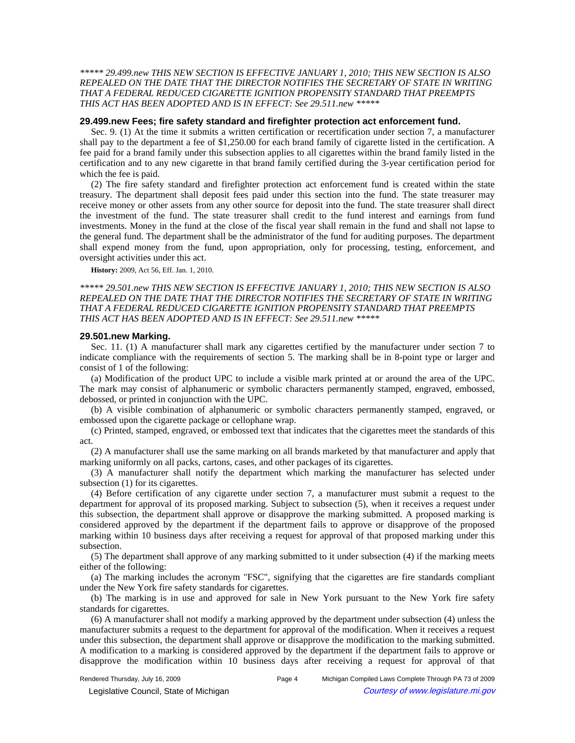*\*\*\*\*\* 29.499.new THIS NEW SECTION IS EFFECTIVE JANUARY 1, 2010; THIS NEW SECTION IS ALSO REPEALED ON THE DATE THAT THE DIRECTOR NOTIFIES THE SECRETARY OF STATE IN WRITING THAT A FEDERAL REDUCED CIGARETTE IGNITION PROPENSITY STANDARD THAT PREEMPTS THIS ACT HAS BEEN ADOPTED AND IS IN EFFECT: See 29.511.new \*\*\*\*\** 

### **29.499.new Fees; fire safety standard and firefighter protection act enforcement fund.**

Sec. 9. (1) At the time it submits a written certification or recertification under section 7, a manufacturer shall pay to the department a fee of \$1,250.00 for each brand family of cigarette listed in the certification. A fee paid for a brand family under this subsection applies to all cigarettes within the brand family listed in the certification and to any new cigarette in that brand family certified during the 3-year certification period for which the fee is paid.

(2) The fire safety standard and firefighter protection act enforcement fund is created within the state treasury. The department shall deposit fees paid under this section into the fund. The state treasurer may receive money or other assets from any other source for deposit into the fund. The state treasurer shall direct the investment of the fund. The state treasurer shall credit to the fund interest and earnings from fund investments. Money in the fund at the close of the fiscal year shall remain in the fund and shall not lapse to the general fund. The department shall be the administrator of the fund for auditing purposes. The department shall expend money from the fund, upon appropriation, only for processing, testing, enforcement, and oversight activities under this act.

**History:** 2009, Act 56, Eff. Jan. 1, 2010.

## *\*\*\*\*\* 29.501.new THIS NEW SECTION IS EFFECTIVE JANUARY 1, 2010; THIS NEW SECTION IS ALSO REPEALED ON THE DATE THAT THE DIRECTOR NOTIFIES THE SECRETARY OF STATE IN WRITING THAT A FEDERAL REDUCED CIGARETTE IGNITION PROPENSITY STANDARD THAT PREEMPTS THIS ACT HAS BEEN ADOPTED AND IS IN EFFECT: See 29.511.new \*\*\*\*\**

#### **29.501.new Marking.**

Sec. 11. (1) A manufacturer shall mark any cigarettes certified by the manufacturer under section 7 to indicate compliance with the requirements of section 5. The marking shall be in 8-point type or larger and consist of 1 of the following:

(a) Modification of the product UPC to include a visible mark printed at or around the area of the UPC. The mark may consist of alphanumeric or symbolic characters permanently stamped, engraved, embossed, debossed, or printed in conjunction with the UPC.

(b) A visible combination of alphanumeric or symbolic characters permanently stamped, engraved, or embossed upon the cigarette package or cellophane wrap.

(c) Printed, stamped, engraved, or embossed text that indicates that the cigarettes meet the standards of this act.

(2) A manufacturer shall use the same marking on all brands marketed by that manufacturer and apply that marking uniformly on all packs, cartons, cases, and other packages of its cigarettes.

(3) A manufacturer shall notify the department which marking the manufacturer has selected under subsection (1) for its cigarettes.

(4) Before certification of any cigarette under section 7, a manufacturer must submit a request to the department for approval of its proposed marking. Subject to subsection (5), when it receives a request under this subsection, the department shall approve or disapprove the marking submitted. A proposed marking is considered approved by the department if the department fails to approve or disapprove of the proposed marking within 10 business days after receiving a request for approval of that proposed marking under this subsection.

(5) The department shall approve of any marking submitted to it under subsection (4) if the marking meets either of the following:

(a) The marking includes the acronym "FSC", signifying that the cigarettes are fire standards compliant under the New York fire safety standards for cigarettes.

(b) The marking is in use and approved for sale in New York pursuant to the New York fire safety standards for cigarettes.

(6) A manufacturer shall not modify a marking approved by the department under subsection (4) unless the manufacturer submits a request to the department for approval of the modification. When it receives a request under this subsection, the department shall approve or disapprove the modification to the marking submitted. A modification to a marking is considered approved by the department if the department fails to approve or disapprove the modification within 10 business days after receiving a request for approval of that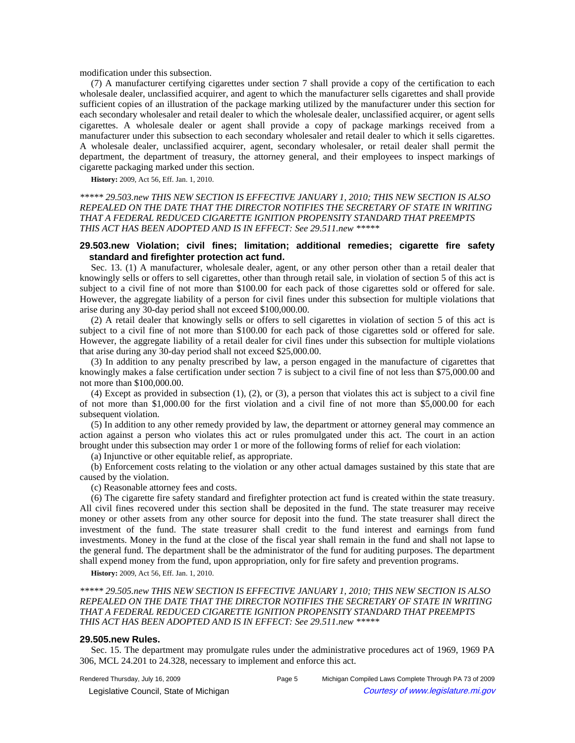modification under this subsection.

(7) A manufacturer certifying cigarettes under section 7 shall provide a copy of the certification to each wholesale dealer, unclassified acquirer, and agent to which the manufacturer sells cigarettes and shall provide sufficient copies of an illustration of the package marking utilized by the manufacturer under this section for each secondary wholesaler and retail dealer to which the wholesale dealer, unclassified acquirer, or agent sells cigarettes. A wholesale dealer or agent shall provide a copy of package markings received from a manufacturer under this subsection to each secondary wholesaler and retail dealer to which it sells cigarettes. A wholesale dealer, unclassified acquirer, agent, secondary wholesaler, or retail dealer shall permit the department, the department of treasury, the attorney general, and their employees to inspect markings of cigarette packaging marked under this section.

**History:** 2009, Act 56, Eff. Jan. 1, 2010.

# *\*\*\*\*\* 29.503.new THIS NEW SECTION IS EFFECTIVE JANUARY 1, 2010; THIS NEW SECTION IS ALSO REPEALED ON THE DATE THAT THE DIRECTOR NOTIFIES THE SECRETARY OF STATE IN WRITING THAT A FEDERAL REDUCED CIGARETTE IGNITION PROPENSITY STANDARD THAT PREEMPTS THIS ACT HAS BEEN ADOPTED AND IS IN EFFECT: See 29.511.new \*\*\*\*\**

# **29.503.new Violation; civil fines; limitation; additional remedies; cigarette fire safety standard and firefighter protection act fund.**

Sec. 13. (1) A manufacturer, wholesale dealer, agent, or any other person other than a retail dealer that knowingly sells or offers to sell cigarettes, other than through retail sale, in violation of section 5 of this act is subject to a civil fine of not more than \$100.00 for each pack of those cigarettes sold or offered for sale. However, the aggregate liability of a person for civil fines under this subsection for multiple violations that arise during any 30-day period shall not exceed \$100,000.00.

(2) A retail dealer that knowingly sells or offers to sell cigarettes in violation of section 5 of this act is subject to a civil fine of not more than \$100.00 for each pack of those cigarettes sold or offered for sale. However, the aggregate liability of a retail dealer for civil fines under this subsection for multiple violations that arise during any 30-day period shall not exceed \$25,000.00.

(3) In addition to any penalty prescribed by law, a person engaged in the manufacture of cigarettes that knowingly makes a false certification under section 7 is subject to a civil fine of not less than \$75,000.00 and not more than \$100,000.00.

(4) Except as provided in subsection (1), (2), or (3), a person that violates this act is subject to a civil fine of not more than \$1,000.00 for the first violation and a civil fine of not more than \$5,000.00 for each subsequent violation.

(5) In addition to any other remedy provided by law, the department or attorney general may commence an action against a person who violates this act or rules promulgated under this act. The court in an action brought under this subsection may order 1 or more of the following forms of relief for each violation:

(a) Injunctive or other equitable relief, as appropriate.

(b) Enforcement costs relating to the violation or any other actual damages sustained by this state that are caused by the violation.

(c) Reasonable attorney fees and costs.

(6) The cigarette fire safety standard and firefighter protection act fund is created within the state treasury. All civil fines recovered under this section shall be deposited in the fund. The state treasurer may receive money or other assets from any other source for deposit into the fund. The state treasurer shall direct the investment of the fund. The state treasurer shall credit to the fund interest and earnings from fund investments. Money in the fund at the close of the fiscal year shall remain in the fund and shall not lapse to the general fund. The department shall be the administrator of the fund for auditing purposes. The department shall expend money from the fund, upon appropriation, only for fire safety and prevention programs.

**History:** 2009, Act 56, Eff. Jan. 1, 2010.

*\*\*\*\*\* 29.505.new THIS NEW SECTION IS EFFECTIVE JANUARY 1, 2010; THIS NEW SECTION IS ALSO REPEALED ON THE DATE THAT THE DIRECTOR NOTIFIES THE SECRETARY OF STATE IN WRITING THAT A FEDERAL REDUCED CIGARETTE IGNITION PROPENSITY STANDARD THAT PREEMPTS THIS ACT HAS BEEN ADOPTED AND IS IN EFFECT: See 29.511.new \*\*\*\*\** 

### **29.505.new Rules.**

Sec. 15. The department may promulgate rules under the administrative procedures act of 1969, 1969 PA 306, MCL 24.201 to 24.328, necessary to implement and enforce this act.